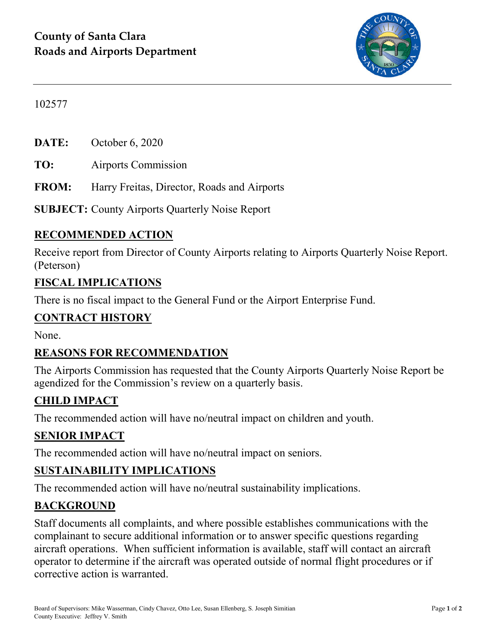

102577

**DATE:** October 6, 2020

**TO:** Airports Commission

**FROM:** Harry Freitas, Director, Roads and Airports

**SUBJECT:** County Airports Quarterly Noise Report

### **RECOMMENDED ACTION**

Receive report from Director of County Airports relating to Airports Quarterly Noise Report. (Peterson)

#### **FISCAL IMPLICATIONS**

There is no fiscal impact to the General Fund or the Airport Enterprise Fund.

#### **CONTRACT HISTORY**

None.

#### **REASONS FOR RECOMMENDATION**

The Airports Commission has requested that the County Airports Quarterly Noise Report be agendized for the Commission's review on a quarterly basis.

#### **CHILD IMPACT**

The recommended action will have no/neutral impact on children and youth.

#### **SENIOR IMPACT**

The recommended action will have no/neutral impact on seniors.

### **SUSTAINABILITY IMPLICATIONS**

The recommended action will have no/neutral sustainability implications.

#### **BACKGROUND**

Staff documents all complaints, and where possible establishes communications with the complainant to secure additional information or to answer specific questions regarding aircraft operations. When sufficient information is available, staff will contact an aircraft operator to determine if the aircraft was operated outside of normal flight procedures or if corrective action is warranted.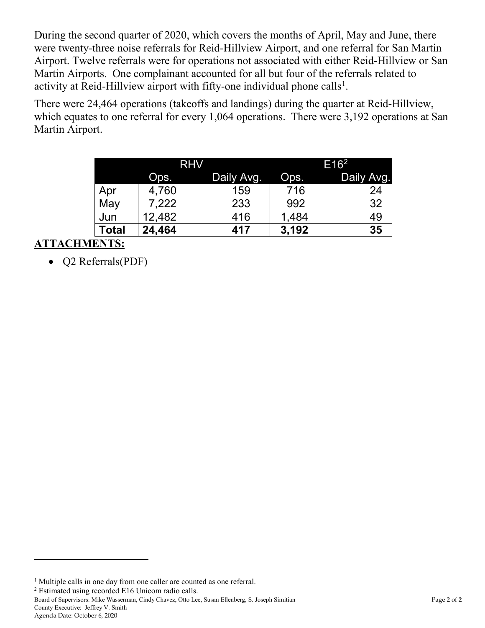During the second quarter of 2020, which covers the months of April, May and June, there were twenty-three noise referrals for Reid-Hillview Airport, and one referral for San Martin Airport. Twelve referrals were for operations not associated with either Reid-Hillview or San Martin Airports. One complainant accounted for all but four of the referrals related to activity at Reid-Hillview airport with fifty-one individual phone calls<sup>[1](#page-1-0)</sup>.

There were 24,464 operations (takeoffs and landings) during the quarter at Reid-Hillview, which equates to one referral for every 1,064 operations. There were 3,192 operations at San Martin Airport.

|       | <b>RHV</b> |            | E16 <sup>2</sup> |            |
|-------|------------|------------|------------------|------------|
|       | Ops.       | Daily Avg. | Ops.             | Daily Avg. |
| Apr   | 4,760      | 159        | 716              | 24         |
| May   | 7,222      | 233        | 992              | 32         |
| Jun   | 12,482     | 416        | 1,484            | 49         |
| Total | 24,464     | 417        | 3,192            | 35         |

### **ATTACHMENTS:**

• Q2 Referrals(PDF)

<span id="page-1-1"></span><sup>2</sup> Estimated using recorded E16 Unicom radio calls.

Board of Supervisors: Mike Wasserman, Cindy Chavez, Otto Lee, Susan Ellenberg, S. Joseph Simitian Page **2** of **2** County Executive: Jeffrey V. Smith

 $\overline{a}$ 

<span id="page-1-0"></span><sup>&</sup>lt;sup>1</sup> Multiple calls in one day from one caller are counted as one referral.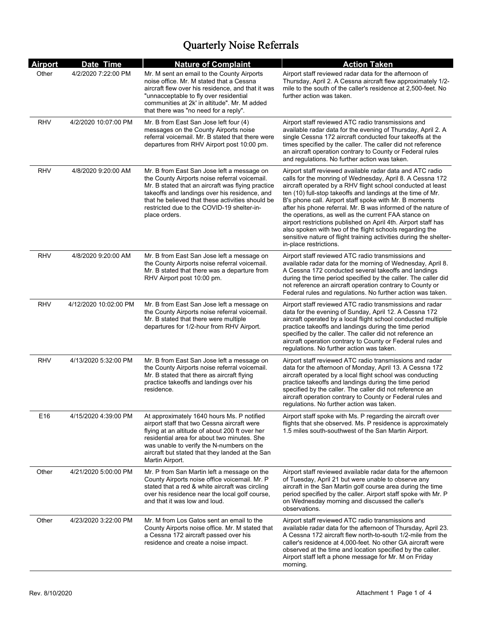| <b>Airport</b> | Date Time             | <b>Nature of Complaint</b>                                                                                                                                                                                                                                                                                           | <b>Action Taken</b>                                                                                                                                                                                                                                                                                                                                                                                                                                                                                                                                                                                                                                                   |
|----------------|-----------------------|----------------------------------------------------------------------------------------------------------------------------------------------------------------------------------------------------------------------------------------------------------------------------------------------------------------------|-----------------------------------------------------------------------------------------------------------------------------------------------------------------------------------------------------------------------------------------------------------------------------------------------------------------------------------------------------------------------------------------------------------------------------------------------------------------------------------------------------------------------------------------------------------------------------------------------------------------------------------------------------------------------|
| Other          | 4/2/2020 7:22:00 PM   | Mr. M sent an email to the County Airports<br>noise office. Mr. M stated that a Cessna<br>aircraft flew over his residence, and that it was<br>"unnacceptable to fly over residential<br>communities at 2k' in altitude". Mr. M added<br>that there was "no need for a reply".                                       | Airport staff reviewed radar data for the afternoon of<br>Thursday, April 2. A Cessna aircraft flew approximately 1/2-<br>mile to the south of the caller's residence at 2,500-feet. No<br>further action was taken.                                                                                                                                                                                                                                                                                                                                                                                                                                                  |
| <b>RHV</b>     | 4/2/2020 10:07:00 PM  | Mr. B from East San Jose left four (4)<br>messages on the County Airports noise<br>referral voicemail. Mr. B stated that there were<br>departures from RHV Airport post 10:00 pm.                                                                                                                                    | Airport staff reviewed ATC radio transmissions and<br>available radar data for the evening of Thursday, April 2. A<br>single Cessna 172 aircraft conducted four takeoffs at the<br>times specified by the caller. The caller did not reference<br>an aircraft operation contrary to County or Federal rules<br>and regulations. No further action was taken.                                                                                                                                                                                                                                                                                                          |
| <b>RHV</b>     | 4/8/2020 9:20:00 AM   | Mr. B from East San Jose left a message on<br>the County Airports noise referral voicemail.<br>Mr. B stated that an aircraft was flying practice<br>takeoffs and landings over his residence, and<br>that he believed that these activities should be<br>restricted due to the COVID-19 shelter-in-<br>place orders. | Airport staff reviewed available radar data and ATC radio<br>calls for the monring of Wednesday, April 8. A Cessna 172<br>aircraft operated by a RHV flight school conducted at least<br>ten (10) full-stop takeoffs and landings at the time of Mr.<br>B's phone call. Airport staff spoke with Mr. B moments<br>after his phone referral. Mr. B was informed of the nature of<br>the operations, as well as the current FAA stance on<br>airport restrictions published on April 4th. Airport staff has<br>also spoken with two of the flight schools regarding the<br>sensitive nature of flight training activities during the shelter-<br>in-place restrictions. |
| <b>RHV</b>     | 4/8/2020 9:20:00 AM   | Mr. B from East San Jose left a message on<br>the County Airports noise referral voicemail.<br>Mr. B stated that there was a departure from<br>RHV Airport post 10:00 pm.                                                                                                                                            | Airport staff reviewed ATC radio transmissions and<br>available radar data for the morning of Wednesday, April 8.<br>A Cessna 172 conducted several takeoffs and landings<br>during the time period specified by the caller. The caller did<br>not reference an aircraft operation contrary to County or<br>Federal rules and regulations. No further action was taken.                                                                                                                                                                                                                                                                                               |
| <b>RHV</b>     | 4/12/2020 10:02:00 PM | Mr. B from East San Jose left a message on<br>the County Airports noise referral voicemail.<br>Mr. B stated that there were multiple<br>departures for 1/2-hour from RHV Airport.                                                                                                                                    | Airport staff reviewed ATC radio transmissions and radar<br>data for the evening of Sunday, April 12. A Cessna 172<br>aircraft operated by a local flight school conducted multiple<br>practice takeoffs and landings during the time period<br>specified by the caller. The caller did not reference an<br>aircraft operation contrary to County or Federal rules and<br>regulations. No further action was taken.                                                                                                                                                                                                                                                   |
| <b>RHV</b>     | 4/13/2020 5:32:00 PM  | Mr. B from East San Jose left a message on<br>the County Airports noise referral voicemail.<br>Mr. B stated that there as aircraft flying<br>practice takeoffs and landings over his<br>residence.                                                                                                                   | Airport staff reviewed ATC radio transmissions and radar<br>data for the afternoon of Monday, April 13. A Cessna 172<br>aircraft operated by a local flight school was conducting<br>practice takeoffs and landings during the time period<br>specified by the caller. The caller did not reference an<br>aircraft operation contrary to County or Federal rules and<br>regulations. No further action was taken.                                                                                                                                                                                                                                                     |
| E16            | 4/15/2020 4:39:00 PM  | At approximately 1640 hours Ms. P notified<br>airport staff that two Cessna aircraft were<br>flying at an altitude of about 200 ft over her<br>residential area for about two minutes. She<br>was unable to verify the N-numbers on the<br>aircraft but stated that they landed at the San<br>Martin Airport.        | Airport staff spoke with Ms. P regarding the aircraft over<br>flights that she observed. Ms. P residence is approximately<br>1.5 miles south-southwest of the San Martin Airport.                                                                                                                                                                                                                                                                                                                                                                                                                                                                                     |
| Other          | 4/21/2020 5:00:00 PM  | Mr. P from San Martin left a message on the<br>County Airports noise office voicemail. Mr. P<br>stated that a red & white aircraft was circling<br>over his residence near the local golf course,<br>and that it was low and loud.                                                                                   | Airport staff reviewed available radar data for the afternoon<br>of Tuesday, April 21 but were unable to observe any<br>aircraft in the San Martin golf course area during the time<br>period specified by the caller. Airport staff spoke with Mr. P<br>on Wednesday morning and discussed the caller's<br>observations.                                                                                                                                                                                                                                                                                                                                             |
| Other          | 4/23/2020 3:22:00 PM  | Mr. M from Los Gatos sent an email to the<br>County Airports noise office. Mr. M stated that<br>a Cessna 172 aircraft passed over his<br>residence and create a noise impact.                                                                                                                                        | Airport staff reviewed ATC radio transmissions and<br>available radar data for the afternoon of Thursday, April 23.<br>A Cessna 172 aircraft flew north-to-south 1/2-mile from the<br>caller's residence at 4,000-feet. No other GA aircraft were<br>observed at the time and location specified by the caller.<br>Airport staff left a phone message for Mr. M on Friday<br>morning.                                                                                                                                                                                                                                                                                 |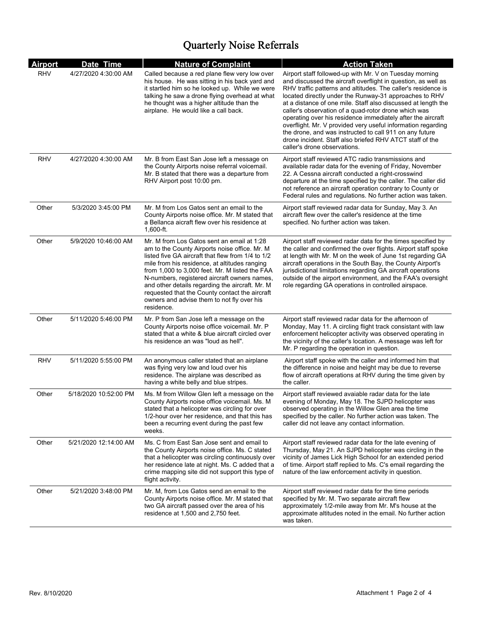| <b>Airport</b> | Date Time             | <b>Nature of Complaint</b>                                                                                                                                                                                                                                                                                                                                                                                                                                            | <b>Action Taken</b>                                                                                                                                                                                                                                                                                                                                                                                                                                                                                                                                                                                                                                                |
|----------------|-----------------------|-----------------------------------------------------------------------------------------------------------------------------------------------------------------------------------------------------------------------------------------------------------------------------------------------------------------------------------------------------------------------------------------------------------------------------------------------------------------------|--------------------------------------------------------------------------------------------------------------------------------------------------------------------------------------------------------------------------------------------------------------------------------------------------------------------------------------------------------------------------------------------------------------------------------------------------------------------------------------------------------------------------------------------------------------------------------------------------------------------------------------------------------------------|
| <b>RHV</b>     | 4/27/2020 4:30:00 AM  | Called because a red plane flew very low over<br>his house. He was sitting in his back yard and<br>it startled him so he looked up. While we were<br>talking he saw a drone flying overhead at what<br>he thought was a higher altitude than the<br>airplane. He would like a call back.                                                                                                                                                                              | Airport staff followed-up with Mr. V on Tuesday morning<br>and discussed the aircraft overflight in question, as well as<br>RHV traffic patterns and altitudes. The caller's residence is<br>located directly under the Runway-31 approaches to RHV<br>at a distance of one mile. Staff also discussed at length the<br>caller's observation of a quad-rotor drone which was<br>operating over his residence immediately after the aircraft<br>overflight. Mr. V provided very useful information regarding<br>the drone, and was instructed to call 911 on any future<br>drone incident. Staff also briefed RHV ATCT staff of the<br>caller's drone observations. |
| RHV            | 4/27/2020 4:30:00 AM  | Mr. B from East San Jose left a message on<br>the County Airports noise referral voicemail.<br>Mr. B stated that there was a departure from<br>RHV Airport post 10:00 pm.                                                                                                                                                                                                                                                                                             | Airport staff reviewed ATC radio transmissions and<br>available radar data for the evening of Friday, November<br>22. A Cessna aircraft conducted a right-crosswind<br>departure at the time specified by the caller. The caller did<br>not reference an aircraft operation contrary to County or<br>Federal rules and regulations. No further action was taken.                                                                                                                                                                                                                                                                                                   |
| Other          | 5/3/2020 3:45:00 PM   | Mr. M from Los Gatos sent an email to the<br>County Airports noise office. Mr. M stated that<br>a Bellanca aicraft flew over his residence at<br>1,600-ft.                                                                                                                                                                                                                                                                                                            | Airport staff reviewed radar data for Sunday, May 3. An<br>aircraft flew over the caller's residence at the time<br>specified. No further action was taken.                                                                                                                                                                                                                                                                                                                                                                                                                                                                                                        |
| Other          | 5/9/2020 10:46:00 AM  | Mr. M from Los Gatos sent an email at 1:28<br>am to the County Airports noise office. Mr. M.<br>listed five GA aircraft that flew from 1/4 to 1/2<br>mile from his residence, at altitudes ranging<br>from 1,000 to 3,000 feet. Mr. M listed the FAA<br>N-numbers, registered aircraft owners names,<br>and other details regarding the aircraft. Mr. M<br>requested that the County contact the aircraft<br>owners and advise them to not fly over his<br>residence. | Airport staff reviewed radar data for the times specified by<br>the caller and confirmed the over flights. Airport staff spoke<br>at length with Mr. M on the week of June 1st regarding GA<br>aircraft operations in the South Bay, the County Airport's<br>jurisdictional limitations regarding GA aircraft operations<br>outside of the airport environment, and the FAA's oversight<br>role regarding GA operations in controlled airspace.                                                                                                                                                                                                                    |
| Other          | 5/11/2020 5:46:00 PM  | Mr. P from San Jose left a message on the<br>County Airports noise office voicemail. Mr. P<br>stated that a white & blue aircraft circled over<br>his residence an was "loud as hell".                                                                                                                                                                                                                                                                                | Airport staff reviewed radar data for the afternoon of<br>Monday, May 11. A circling flight track consistant with law<br>enforcement helicopter activity was observed operating in<br>the vicinity of the caller's location. A message was left for<br>Mr. P regarding the operation in question.                                                                                                                                                                                                                                                                                                                                                                  |
| <b>RHV</b>     | 5/11/2020 5:55:00 PM  | An anonymous caller stated that an airplane<br>was flying very low and loud over his<br>residence. The airplane was described as<br>having a white belly and blue stripes.                                                                                                                                                                                                                                                                                            | Airport staff spoke with the caller and informed him that<br>the difference in noise and height may be due to reverse<br>flow of aircraft operations at RHV during the time given by<br>the caller.                                                                                                                                                                                                                                                                                                                                                                                                                                                                |
| Other          | 5/18/2020 10:52:00 PM | Ms. M from Willow Glen left a message on the<br>County Airports noise office voicemail. Ms. M.<br>stated that a helicopter was circling for over<br>1/2-hour over her residence, and that this has<br>been a recurring event during the past few<br>weeks.                                                                                                                                                                                                            | Airport staff reviewed avaiable radar data for the late<br>evening of Monday, May 18. The SJPD helicopter was<br>observed operating in the Willow Glen area the time<br>specified by the caller. No further action was taken. The<br>caller did not leave any contact information.                                                                                                                                                                                                                                                                                                                                                                                 |
| Other          | 5/21/2020 12:14:00 AM | Ms. C from East San Jose sent and email to<br>the County Airports noise office. Ms. C stated<br>that a helicopter was circling continuously over<br>her residence late at night. Ms. C added that a<br>crime mapping site did not support this type of<br>flight activity.                                                                                                                                                                                            | Airport staff reviewed radar data for the late evening of<br>Thursday, May 21. An SJPD helicopter was circling in the<br>vicinity of James Lick High School for an extended period<br>of time. Airport staff replied to Ms. C's email regarding the<br>nature of the law enforcement activity in question.                                                                                                                                                                                                                                                                                                                                                         |
| Other          | 5/21/2020 3:48:00 PM  | Mr. M, from Los Gatos send an email to the<br>County Airports noise office. Mr. M stated that<br>two GA aircraft passed over the area of his<br>residence at 1,500 and 2,750 feet.                                                                                                                                                                                                                                                                                    | Airport staff reviewed radar data for the time periods<br>specified by Mr. M. Two separate aircraft flew<br>approximately 1/2-mile away from Mr. M's house at the<br>approximate altitudes noted in the email. No further action<br>was taken.                                                                                                                                                                                                                                                                                                                                                                                                                     |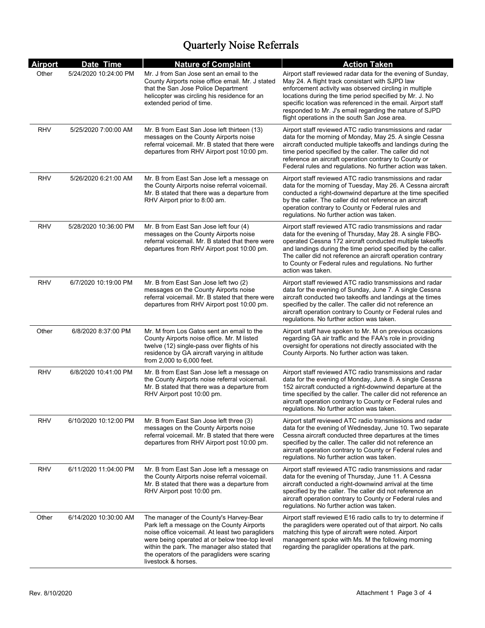| <b>Airport</b> | Date Time             | <b>Nature of Complaint</b>                                                                                                                                                                                                                                                                                           | <b>Action Taken</b>                                                                                                                                                                                                                                                                                                                                                                                              |
|----------------|-----------------------|----------------------------------------------------------------------------------------------------------------------------------------------------------------------------------------------------------------------------------------------------------------------------------------------------------------------|------------------------------------------------------------------------------------------------------------------------------------------------------------------------------------------------------------------------------------------------------------------------------------------------------------------------------------------------------------------------------------------------------------------|
| Other          | 5/24/2020 10:24:00 PM | Mr. J from San Jose sent an email to the<br>County Airports noise office email. Mr. J stated<br>that the San Jose Police Department<br>helicopter was circling his residence for an<br>extended period of time.                                                                                                      | Airport staff reviewed radar data for the evening of Sunday,<br>May 24. A flight track consistant with SJPD law<br>enforcement activity was observed circling in multiple<br>locations during the time period specified by Mr. J. No<br>specific location was referenced in the email. Airport staff<br>responded to Mr. J's email regarding the nature of SJPD<br>flight operations in the south San Jose area. |
| <b>RHV</b>     | 5/25/2020 7:00:00 AM  | Mr. B from East San Jose left thirteen (13)<br>messages on the County Airports noise<br>referral voicemail. Mr. B stated that there were<br>departures from RHV Airport post 10:00 pm.                                                                                                                               | Airport staff reviewed ATC radio transmissions and radar<br>data for the morning of Monday, May 25. A single Cessna<br>aircraft conducted multiple takeoffs and landings during the<br>time period specified by the caller. The caller did not<br>reference an aircraft operation contrary to County or<br>Federal rules and regulations. No further action was taken.                                           |
| RHV            | 5/26/2020 6:21:00 AM  | Mr. B from East San Jose left a message on<br>the County Airports noise referral voicemail.<br>Mr. B stated that there was a departure from<br>RHV Airport prior to 8:00 am.                                                                                                                                         | Airport staff reviewed ATC radio transmissions and radar<br>data for the morning of Tuesday, May 26. A Cessna aircraft<br>conducted a right-downwind departure at the time specified<br>by the caller. The caller did not reference an aircraft<br>operation contrary to County or Federal rules and<br>regulations. No further action was taken.                                                                |
| <b>RHV</b>     | 5/28/2020 10:36:00 PM | Mr. B from East San Jose left four (4)<br>messages on the County Airports noise<br>referral voicemail. Mr. B stated that there were<br>departures from RHV Airport post 10:00 pm.                                                                                                                                    | Airport staff reviewed ATC radio transmissions and radar<br>data for the evening of Thursday, May 28. A single FBO-<br>operated Cessna 172 aircraft conducted multiple takeoffs<br>and landings during the time period specified by the caller.<br>The caller did not reference an aircraft operation contrary<br>to County or Federal rules and regulations. No further<br>action was taken.                    |
| RHV            | 6/7/2020 10:19:00 PM  | Mr. B from East San Jose left two (2)<br>messages on the County Airports noise<br>referral voicemail. Mr. B stated that there were<br>departures from RHV Airport post 10:00 pm.                                                                                                                                     | Airport staff reviewed ATC radio transmissions and radar<br>data for the evening of Sunday, June 7. A single Cessna<br>aircraft conducted two takeoffs and landings at the times<br>specified by the caller. The caller did not reference an<br>aircraft operation contrary to County or Federal rules and<br>regulations. No further action was taken.                                                          |
| Other          | 6/8/2020 8:37:00 PM   | Mr. M from Los Gatos sent an email to the<br>County Airports noise office. Mr. M listed<br>twelve (12) single-pass over flights of his<br>residence by GA aircraft varying in altitude<br>from 2,000 to 6,000 feet.                                                                                                  | Airport staff have spoken to Mr. M on previous occasions<br>regarding GA air traffic and the FAA's role in providing<br>oversight for operations not directly associated with the<br>County Airports. No further action was taken.                                                                                                                                                                               |
| RHV            | 6/8/2020 10:41:00 PM  | Mr. B from East San Jose left a message on<br>the County Airports noise referral voicemail.<br>Mr. B stated that there was a departure from<br>RHV Airport post 10:00 pm.                                                                                                                                            | Airport staff reviewed ATC radio transmissions and radar<br>data for the evening of Monday, June 8. A single Cessna<br>152 aircraft conducted a right-downwind departure at the<br>time specified by the caller. The caller did not reference an<br>aircraft operation contrary to County or Federal rules and<br>regulations. No further action was taken.                                                      |
| <b>RHV</b>     | 6/10/2020 10:12:00 PM | Mr. B from East San Jose left three (3)<br>messages on the County Airports noise<br>referral voicemail. Mr. B stated that there were<br>departures from RHV Airport post 10:00 pm.                                                                                                                                   | Airport staff reviewed ATC radio transmissions and radar<br>data for the evening of Wednesday, June 10. Two separate<br>Cessna aircraft conducted three departures at the times<br>specified by the caller. The caller did not reference an<br>aircraft operation contrary to County or Federal rules and<br>regulations. No further action was taken.                                                           |
| RHV            | 6/11/2020 11:04:00 PM | Mr. B from East San Jose left a message on<br>the County Airports noise referral voicemail.<br>Mr. B stated that there was a departure from<br>RHV Airport post 10:00 pm.                                                                                                                                            | Airport staff reviewed ATC radio transmissions and radar<br>data for the evening of Thursday, June 11. A Cessna<br>aircraft conducted a right-downwind arrival at the time<br>specified by the caller. The caller did not reference an<br>aircraft operation contrary to County or Federal rules and<br>regulations. No further action was taken.                                                                |
| Other          | 6/14/2020 10:30:00 AM | The manager of the County's Harvey-Bear<br>Park left a message on the County Airports<br>noise office voicemail. At least two paragliders<br>were being operated at or below tree-top level<br>within the park. The manager also stated that<br>the operators of the paragliders were scaring<br>livestock & horses. | Airport staff reviewed E16 radio calls to try to determine if<br>the paragliders were operated out of that airport. No calls<br>matching this type of aircraft were noted. Airport<br>management spoke with Ms. M the following morning<br>regarding the paraglider operations at the park.                                                                                                                      |